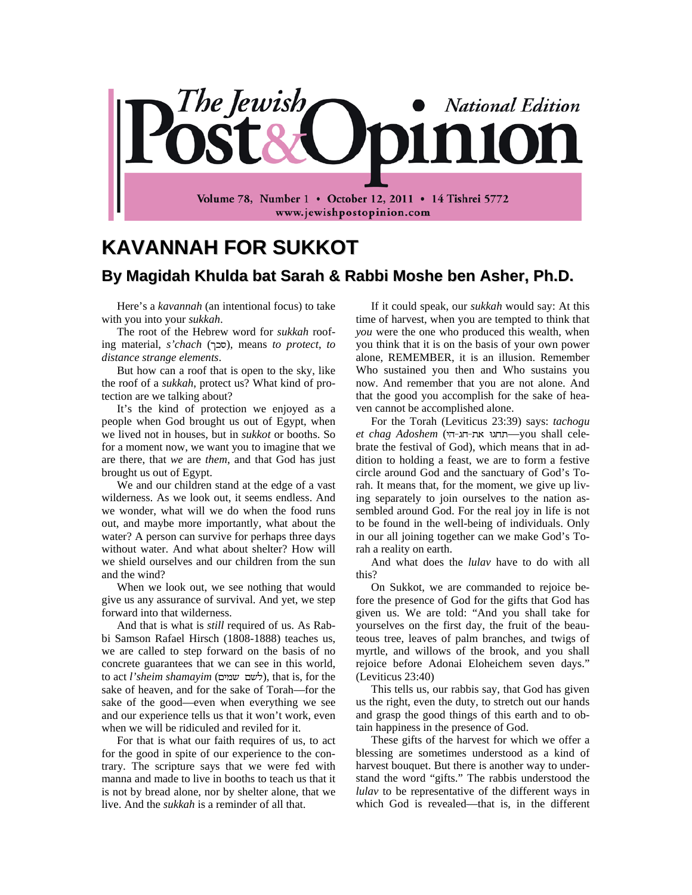

## **KAVANNAH FOR SUKKOT By Magidah Khulda bat Sarah & Rabbi Moshe ben Asher, Ph.D.**

Here's a *kavannah* (an intentional focus) to take with you into your *sukkah*.

The root of the Hebrew word for *sukkah* roofing material, *s'chach* (), means *to protect*, *to distance strange elements*.

But how can a roof that is open to the sky, like the roof of a *sukkah*, protect us? What kind of protection are we talking about?

It's the kind of protection we enjoyed as a people when God brought us out of Egypt, when we lived not in houses, but in *sukkot* or booths. So for a moment now, we want you to imagine that we are there, that *we* are *them*, and that God has just brought us out of Egypt.

We and our children stand at the edge of a vast wilderness. As we look out, it seems endless. And we wonder, what will we do when the food runs out, and maybe more importantly, what about the water? A person can survive for perhaps three days without water. And what about shelter? How will we shield ourselves and our children from the sun and the wind?

When we look out, we see nothing that would give us any assurance of survival. And yet, we step forward into that wilderness.

And that is what is *still* required of us. As Rabbi Samson Rafael Hirsch (1808-1888) teaches us, we are called to step forward on the basis of no concrete guarantees that we can see in this world, to act *l'sheim shamayim* ( ), that is, for the sake of heaven, and for the sake of Torah—for the sake of the good—even when everything we see and our experience tells us that it won't work, even when we will be ridiculed and reviled for it.

For that is what our faith requires of us, to act for the good in spite of our experience to the contrary. The scripture says that we were fed with manna and made to live in booths to teach us that it is not by bread alone, nor by shelter alone, that we live. And the *sukkah* is a reminder of all that.

If it could speak, our *sukkah* would say: At this time of harvest, when you are tempted to think that *you* were the one who produced this wealth, when you think that it is on the basis of your own power alone, REMEMBER, it is an illusion. Remember Who sustained you then and Who sustains you now. And remember that you are not alone. And that the good you accomplish for the sake of heaven cannot be accomplished alone.

For the Torah (Leviticus 23:39) says: *tachogu et chag Adoshem* ( —you shall celebrate the festival of God), which means that in addition to holding a feast, we are to form a festive circle around God and the sanctuary of God's Torah. It means that, for the moment, we give up living separately to join ourselves to the nation assembled around God. For the real joy in life is not to be found in the well-being of individuals. Only in our all joining together can we make God's Torah a reality on earth.

And what does the *lulav* have to do with all this?

On Sukkot, we are commanded to rejoice before the presence of God for the gifts that God has given us. We are told: "And you shall take for yourselves on the first day, the fruit of the beauteous tree, leaves of palm branches, and twigs of myrtle, and willows of the brook, and you shall rejoice before Adonai Eloheichem seven days." (Leviticus 23:40)

This tells us, our rabbis say, that God has given us the right, even the duty, to stretch out our hands and grasp the good things of this earth and to obtain happiness in the presence of God.

These gifts of the harvest for which we offer a blessing are sometimes understood as a kind of harvest bouquet. But there is another way to understand the word "gifts." The rabbis understood the *lulav* to be representative of the different ways in which God is revealed—that is, in the different